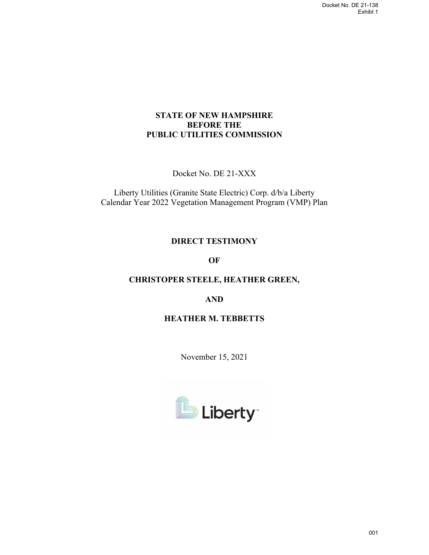## **STATE OF NEW HAMPSHIRE BEFORE THE PUBLIC UTILITIES COMMISSION**

Docket No. DE 21-XXX

Liberty Utilities (Granite State Electric) Corp. d/b/a Liberty Calendar Year 2022 Vegetation Management Program (VMP) Plan

# **DIRECT TESTIMONY**

## **OF**

# **CHRISTOPER STEELE, HEATHER GREEN,**

# **AND**

## **HEATHER M. TEBBETTS**

November 15, 2021

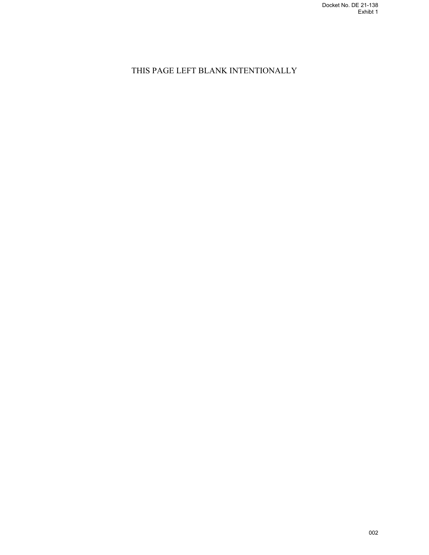# THIS PAGE LEFT BLANK INTENTIONALLY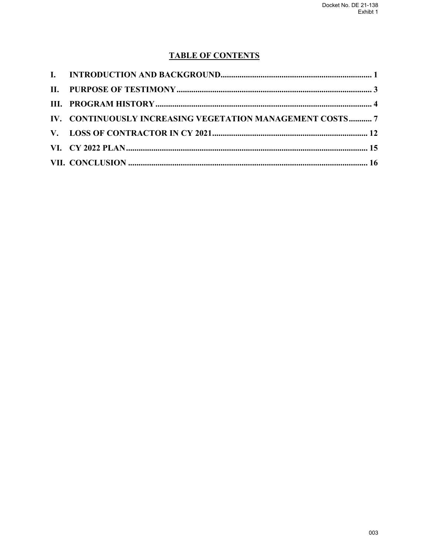# **TABLE OF CONTENTS**

| IV. CONTINUOUSLY INCREASING VEGETATION MANAGEMENT COSTS7 |  |
|----------------------------------------------------------|--|
|                                                          |  |
|                                                          |  |
|                                                          |  |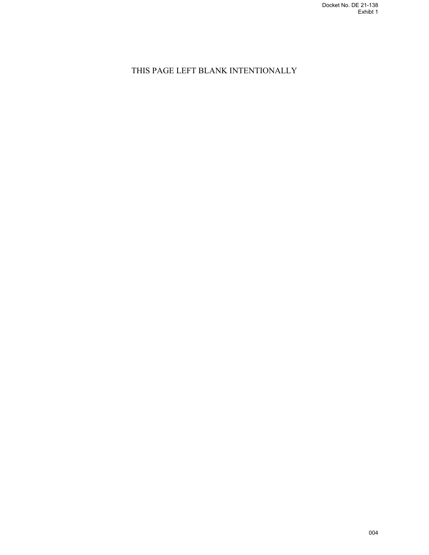# THIS PAGE LEFT BLANK INTENTIONALLY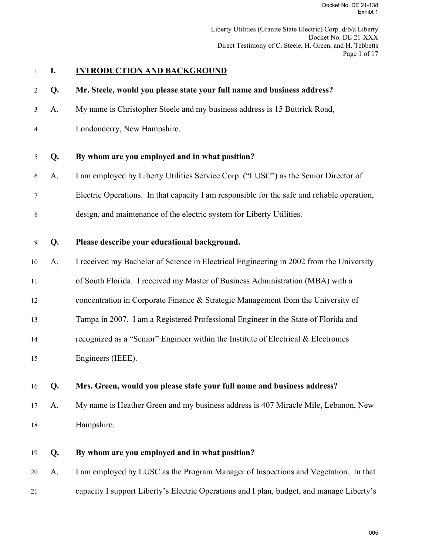Liberty Utilities (Granite State Electric) Corp. d/b/a Liberty Docket No. DE 21-XXX Direct Testimony of C. Steele, H. Green, and H. Tebbetts Page 1 of 17 Docket No. DE 21-138<br>
Exhibt 1<br>
Corp. d/b/a Liberty<br>
cet No. DE 21-XXX<br>
ren, and H. Tebbetts<br>
Page 1 of 17<br> **ss?**<br> **ondary Divide Server Server Server All All Corp.<br>
<b>Process?**<br> **Director of**<br> **i** the University of<br>
Portai

# 1 **I. INTRODUCTION AND BACKGROUND**

### 2 **Q. Mr. Steele, would you please state your full name and business address?**

- 3 A. My name is Christopher Steele and my business address is 15 Buttrick Road,
- 4 Londonderry, New Hampshire.

### 5 **Q. By whom are you employed and in what position?**

6 A. I am employed by Liberty Utilities Service Corp. ("LUSC") as the Senior Director of

7 Electric Operations. In that capacity I am responsible for the safe and reliable operation,

- 8 design, and maintenance of the electric system for Liberty Utilities.
- 9 **Q. Please describe your educational background.**
- 10 A. I received my Bachelor of Science in Electrical Engineering in 2002 from the University

11 of South Florida. I received my Master of Business Administration (MBA) with a

12 concentration in Corporate Finance & Strategic Management from the University of

- 13 Tampa in 2007. I am a Registered Professional Engineer in the State of Florida and
- 14 recognized as a "Senior" Engineer within the Institute of Electrical & Electronics
- 15 Engineers (IEEE).

### 16 **Q. Mrs. Green, would you please state your full name and business address?**

17 A. My name is Heather Green and my business address is 407 Miracle Mile, Lebanon, New 18 Hampshire.

### 19 **Q. By whom are you employed and in what position?**

20 A. I am employed by LUSC as the Program Manager of Inspections and Vegetation. In that 21 capacity I support Liberty's Electric Operations and I plan, budget, and manage Liberty's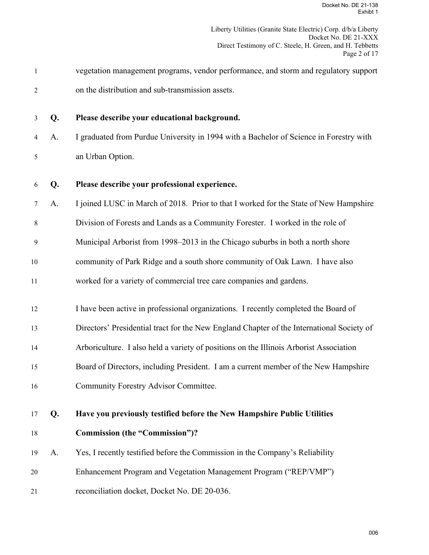|                |    | Docket No. DE 21-138<br>Exhibt 1                                                          |
|----------------|----|-------------------------------------------------------------------------------------------|
|                |    | Liberty Utilities (Granite State Electric) Corp. d/b/a Liberty<br>Docket No. DE 21-XXX    |
|                |    | Direct Testimony of C. Steele, H. Green, and H. Tebbetts<br>Page 2 of 17                  |
| $\mathbf{1}$   |    | vegetation management programs, vendor performance, and storm and regulatory support      |
| $\overline{2}$ |    | on the distribution and sub-transmission assets.                                          |
| $\mathfrak{Z}$ | Q. | Please describe your educational background.                                              |
| 4              | А. | I graduated from Purdue University in 1994 with a Bachelor of Science in Forestry with    |
| 5              |    | an Urban Option.                                                                          |
| 6              | Q. | Please describe your professional experience.                                             |
| 7              | A. | I joined LUSC in March of 2018. Prior to that I worked for the State of New Hampshire     |
| 8              |    | Division of Forests and Lands as a Community Forester. I worked in the role of            |
| 9              |    | Municipal Arborist from 1998–2013 in the Chicago suburbs in both a north shore            |
| 10             |    | community of Park Ridge and a south shore community of Oak Lawn. I have also              |
| 11             |    | worked for a variety of commercial tree care companies and gardens.                       |
| 12             |    | I have been active in professional organizations. I recently completed the Board of       |
| 13             |    | Directors' Presidential tract for the New England Chapter of the International Society of |
| 14             |    | Arboriculture. I also held a variety of positions on the Illinois Arborist Association    |
| 15             |    | Board of Directors, including President. I am a current member of the New Hampshire       |
| 16             |    | Community Forestry Advisor Committee.                                                     |
| 17             | Q. | Have you previously testified before the New Hampshire Public Utilities                   |
| 18             |    | <b>Commission (the "Commission")?</b>                                                     |
| 19             | A. | Yes, I recently testified before the Commission in the Company's Reliability              |
| 20             |    | Enhancement Program and Vegetation Management Program ("REP/VMP")                         |
| 21             |    | reconciliation docket, Docket No. DE 20-036.                                              |
|                |    |                                                                                           |
|                |    | 006                                                                                       |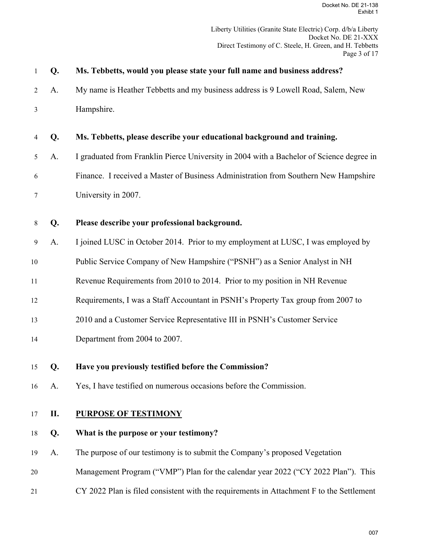|                |    | Docket No. DE 21-138<br>Exhibt 1                                                                                                                                   |
|----------------|----|--------------------------------------------------------------------------------------------------------------------------------------------------------------------|
|                |    | Liberty Utilities (Granite State Electric) Corp. d/b/a Liberty<br>Docket No. DE 21-XXX<br>Direct Testimony of C. Steele, H. Green, and H. Tebbetts<br>Page 3 of 17 |
| $\mathbf{1}$   | Q. | Ms. Tebbetts, would you please state your full name and business address?                                                                                          |
| 2              | A. | My name is Heather Tebbetts and my business address is 9 Lowell Road, Salem, New                                                                                   |
| $\mathfrak{Z}$ |    | Hampshire.                                                                                                                                                         |
| 4              | Q. | Ms. Tebbetts, please describe your educational background and training.                                                                                            |
| 5              | A. | I graduated from Franklin Pierce University in 2004 with a Bachelor of Science degree in                                                                           |
| 6              |    | Finance. I received a Master of Business Administration from Southern New Hampshire                                                                                |
| 7              |    | University in 2007.                                                                                                                                                |
| $8\,$          | Q. | Please describe your professional background.                                                                                                                      |
| 9              | A. | I joined LUSC in October 2014. Prior to my employment at LUSC, I was employed by                                                                                   |
| 10             |    | Public Service Company of New Hampshire ("PSNH") as a Senior Analyst in NH                                                                                         |
| 11             |    | Revenue Requirements from 2010 to 2014. Prior to my position in NH Revenue                                                                                         |
| 12             |    | Requirements, I was a Staff Accountant in PSNH's Property Tax group from 2007 to                                                                                   |
| 13             |    | 2010 and a Customer Service Representative III in PSNH's Customer Service                                                                                          |
| 14             |    | Department from 2004 to 2007.                                                                                                                                      |
| 15             | Q. | Have you previously testified before the Commission?                                                                                                               |
| 16             | A. | Yes, I have testified on numerous occasions before the Commission.                                                                                                 |
| 17             | П. | <b>PURPOSE OF TESTIMONY</b>                                                                                                                                        |
| 18             | Q. | What is the purpose or your testimony?                                                                                                                             |
| 19             | A. | The purpose of our testimony is to submit the Company's proposed Vegetation                                                                                        |
| 20             |    | Management Program ("VMP") Plan for the calendar year 2022 ("CY 2022 Plan"). This                                                                                  |
| 21             |    | CY 2022 Plan is filed consistent with the requirements in Attachment F to the Settlement                                                                           |
|                |    | 007                                                                                                                                                                |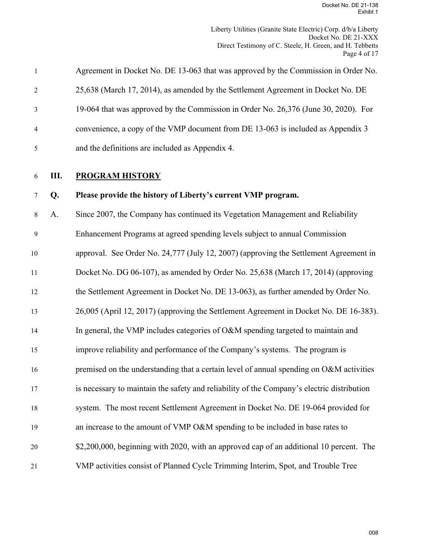|                |    | Docket No. DE 21-138<br>Exhibt 1                                                                                                                                   |
|----------------|----|--------------------------------------------------------------------------------------------------------------------------------------------------------------------|
|                |    | Liberty Utilities (Granite State Electric) Corp. d/b/a Liberty<br>Docket No. DE 21-XXX<br>Direct Testimony of C. Steele, H. Green, and H. Tebbetts<br>Page 4 of 17 |
| $\mathbf{1}$   |    | Agreement in Docket No. DE 13-063 that was approved by the Commission in Order No.                                                                                 |
| $\overline{2}$ |    | 25,638 (March 17, 2014), as amended by the Settlement Agreement in Docket No. DE                                                                                   |
| 3              |    | 19-064 that was approved by the Commission in Order No. 26,376 (June 30, 2020). For                                                                                |
| 4              |    | convenience, a copy of the VMP document from DE 13-063 is included as Appendix 3                                                                                   |
| 5              |    | and the definitions are included as Appendix 4.                                                                                                                    |
| 6              | Ш. | <b>PROGRAM HISTORY</b>                                                                                                                                             |
| $\tau$         | Q. | Please provide the history of Liberty's current VMP program.                                                                                                       |
| 8              | A. | Since 2007, the Company has continued its Vegetation Management and Reliability                                                                                    |
| 9              |    | Enhancement Programs at agreed spending levels subject to annual Commission                                                                                        |
| 10             |    | approval. See Order No. 24,777 (July 12, 2007) (approving the Settlement Agreement in                                                                              |
| 11             |    | Docket No. DG 06-107), as amended by Order No. 25,638 (March 17, 2014) (approving                                                                                  |
| 12             |    | the Settlement Agreement in Docket No. DE 13-063), as further amended by Order No.                                                                                 |
| 13             |    | 26,005 (April 12, 2017) (approving the Settlement Agreement in Docket No. DE 16-383).                                                                              |
| 14             |    | In general, the VMP includes categories of O&M spending targeted to maintain and                                                                                   |
| 15             |    | improve reliability and performance of the Company's systems. The program is                                                                                       |
| 16             |    | premised on the understanding that a certain level of annual spending on O&M activities                                                                            |
| 17             |    | is necessary to maintain the safety and reliability of the Company's electric distribution                                                                         |
| 18             |    | system. The most recent Settlement Agreement in Docket No. DE 19-064 provided for                                                                                  |
| 19             |    | an increase to the amount of VMP O&M spending to be included in base rates to                                                                                      |
| 20             |    | \$2,200,000, beginning with 2020, with an approved cap of an additional 10 percent. The                                                                            |
| 21             |    | VMP activities consist of Planned Cycle Trimming Interim, Spot, and Trouble Tree                                                                                   |
|                |    |                                                                                                                                                                    |
|                |    |                                                                                                                                                                    |
|                |    | 008                                                                                                                                                                |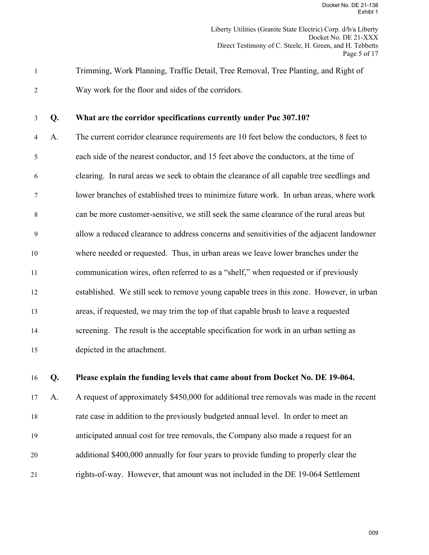Liberty Utilities (Granite State Electric) Corp. d/b/a Liberty Docket No. DE 21-XXX Direct Testimony of C. Steele, H. Green, and H. Tebbetts Page 5 of 17

1 Trimming, Work Planning, Traffic Detail, Tree Removal, Tree Planting, and Right of 2 Way work for the floor and sides of the corridors.

### 3 **Q. What are the corridor specifications currently under Puc 307.10?**

4 A. The current corridor clearance requirements are 10 feet below the conductors, 8 feet to 5 each side of the nearest conductor, and 15 feet above the conductors, at the time of 6 clearing. In rural areas we seek to obtain the clearance of all capable tree seedlings and 7 lower branches of established trees to minimize future work. In urban areas, where work 8 can be more customer-sensitive, we still seek the same clearance of the rural areas but 9 allow a reduced clearance to address concerns and sensitivities of the adjacent landowner 10 where needed or requested. Thus, in urban areas we leave lower branches under the 11 communication wires, often referred to as a "shelf," when requested or if previously 12 established. We still seek to remove young capable trees in this zone. However, in urban 13 areas, if requested, we may trim the top of that capable brush to leave a requested 14 screening. The result is the acceptable specification for work in an urban setting as 15 depicted in the attachment. Docket No. DE 21-138<br>
Exhibt 1<br>
Corp. d/b/a Liberty<br>
cet No. DE 21-XXX<br>
sen, and H. Tebbetts<br>
Page 5 of 17<br>
and Right of<br>
and Right of<br>
tors, 8 feet to<br>
tors, 8 feet to<br>
ne time of<br>
seedlings and<br>
eas, where work<br>
and area

### 16 **Q. Please explain the funding levels that came about from Docket No. DE 19-064.**

17 A. A request of approximately \$450,000 for additional tree removals was made in the recent 18 rate case in addition to the previously budgeted annual level. In order to meet an 19 anticipated annual cost for tree removals, the Company also made a request for an 20 additional \$400,000 annually for four years to provide funding to properly clear the 21 rights-of-way. However, that amount was not included in the DE 19-064 Settlement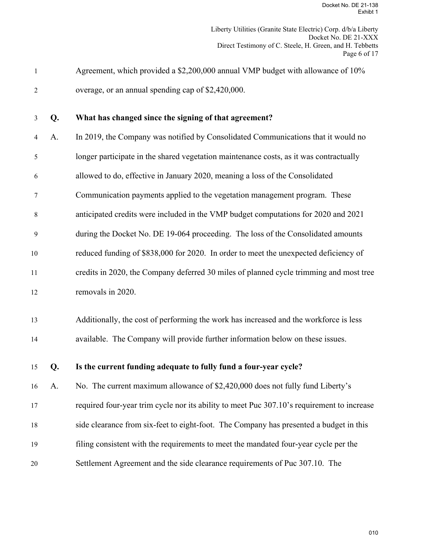Liberty Utilities (Granite State Electric) Corp. d/b/a Liberty Docket No. DE 21-XXX Direct Testimony of C. Steele, H. Green, and H. Tebbetts Page 6 of 17

1 Agreement, which provided a \$2,200,000 annual VMP budget with allowance of 10% 2 overage, or an annual spending cap of \$2,420,000.

### 3 **Q. What has changed since the signing of that agreement?**

4 A. In 2019, the Company was notified by Consolidated Communications that it would no 5 longer participate in the shared vegetation maintenance costs, as it was contractually 6 allowed to do, effective in January 2020, meaning a loss of the Consolidated 7 Communication payments applied to the vegetation management program. These 8 anticipated credits were included in the VMP budget computations for 2020 and 2021 9 during the Docket No. DE 19-064 proceeding. The loss of the Consolidated amounts 10 reduced funding of \$838,000 for 2020. In order to meet the unexpected deficiency of 11 credits in 2020, the Company deferred 30 miles of planned cycle trimming and most tree 12 removals in 2020. Docket No. DE 21-138<br>
Exhibt 1<br>
Exhibt 1<br>
Corp. d/b/a Liberty<br>
stel No. DE 21-XXX<br>
ren, and H. Tebbetts<br>
Page 6 of 17<br>
rance of 10%<br>
Tance of 10%<br>
that it would no<br>
not ractually<br>
ted<br>
1. These<br>
20 and 2021<br>
ted amounts<br>
l

- 13 Additionally, the cost of performing the work has increased and the workforce is less 14 available. The Company will provide further information below on these issues.
- 15 **Q. Is the current funding adequate to fully fund a four-year cycle?**

16 A. No. The current maximum allowance of \$2,420,000 does not fully fund Liberty's 17 required four-year trim cycle nor its ability to meet Puc 307.10's requirement to increase 18 side clearance from six-feet to eight-foot. The Company has presented a budget in this 19 filing consistent with the requirements to meet the mandated four-year cycle per the 20 Settlement Agreement and the side clearance requirements of Puc 307.10. The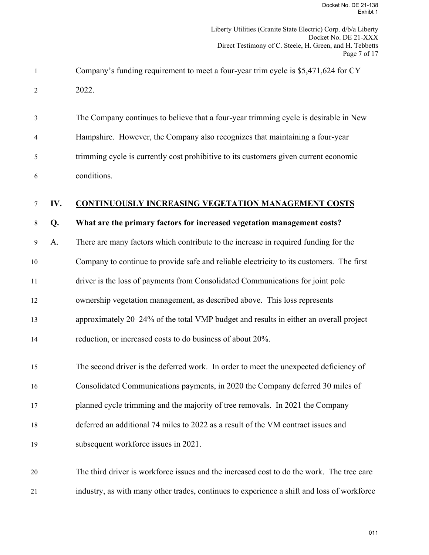Liberty Utilities (Granite State Electric) Corp. d/b/a Liberty Docket No. DE 21-XXX Direct Testimony of C. Steele, H. Green, and H. Tebbetts Page 7 of 17

- 1 Company's funding requirement to meet a four-year trim cycle is \$5,471,624 for CY 2 2022.
- 3 The Company continues to believe that a four-year trimming cycle is desirable in New 4 Hampshire. However, the Company also recognizes that maintaining a four-year 5 trimming cycle is currently cost prohibitive to its customers given current economic 6 conditions. Docket No. DE 21-138<br>
Exhibt 1<br>
Corp. d/b/a Liberty<br>
cet No. DE 21-XXX<br>
cen, and H. Tebbetts<br>
Page 7 of 17<br>
624 for CY<br>
irable in New<br>
ur-year<br>
irable in New<br>
our-year<br>
conomic<br>
<u>COSTS</u><br>
costs?<br>
mg for the<br>
ers. The first<br>

### 7 **IV. CONTINUOUSLY INCREASING VEGETATION MANAGEMENT COSTS**

### 8 **Q. What are the primary factors for increased vegetation management costs?**

- 9 A. There are many factors which contribute to the increase in required funding for the
- 10 Company to continue to provide safe and reliable electricity to its customers. The first
- 11 driver is the loss of payments from Consolidated Communications for joint pole
- 12 ownership vegetation management, as described above. This loss represents
- 13 approximately 20–24% of the total VMP budget and results in either an overall project
- 14 reduction, or increased costs to do business of about 20%.
- 15 The second driver is the deferred work. In order to meet the unexpected deficiency of
- 16 Consolidated Communications payments, in 2020 the Company deferred 30 miles of
- 17 planned cycle trimming and the majority of tree removals. In 2021 the Company
- 18 deferred an additional 74 miles to 2022 as a result of the VM contract issues and
- 19 subsequent workforce issues in 2021.
- 20 The third driver is workforce issues and the increased cost to do the work. The tree care 21 industry, as with many other trades, continues to experience a shift and loss of workforce

011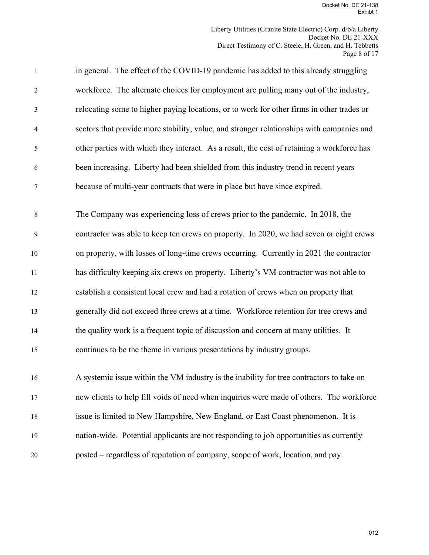Liberty Utilities (Granite State Electric) Corp. d/b/a Liberty Docket No. DE 21-XXX Direct Testimony of C. Steele, H. Green, and H. Tebbetts Page 8 of 17

1 in general. The effect of the COVID-19 pandemic has added to this already struggling 2 workforce. The alternate choices for employment are pulling many out of the industry, 3 relocating some to higher paying locations, or to work for other firms in other trades or 4 sectors that provide more stability, value, and stronger relationships with companies and 5 other parties with which they interact. As a result, the cost of retaining a workforce has 6 been increasing. Liberty had been shielded from this industry trend in recent years 7 because of multi-year contracts that were in place but have since expired.

8 The Company was experiencing loss of crews prior to the pandemic. In 2018, the 9 contractor was able to keep ten crews on property. In 2020, we had seven or eight crews 10 on property, with losses of long-time crews occurring. Currently in 2021 the contractor 11 has difficulty keeping six crews on property. Liberty's VM contractor was not able to 12 establish a consistent local crew and had a rotation of crews when on property that 13 generally did not exceed three crews at a time. Workforce retention for tree crews and 14 the quality work is a frequent topic of discussion and concern at many utilities. It 15 continues to be the theme in various presentations by industry groups. Docket No. DE 21-138<br>
Exhibt 1<br>
Corp. d/b/a Liberty<br>
cet No. DE 21-XXX<br>
cen, and H. Tebbetts<br>
Page 8 of 17<br>
dy struggling<br>
f the industry,<br>
other trades or<br>
companies and<br>
workforce has<br>
cent years<br>
2018, the<br>
1 or eight c

16 A systemic issue within the VM industry is the inability for tree contractors to take on 17 new clients to help fill voids of need when inquiries were made of others. The workforce 18 issue is limited to New Hampshire, New England, or East Coast phenomenon. It is 19 nation-wide. Potential applicants are not responding to job opportunities as currently 20 posted – regardless of reputation of company, scope of work, location, and pay.

012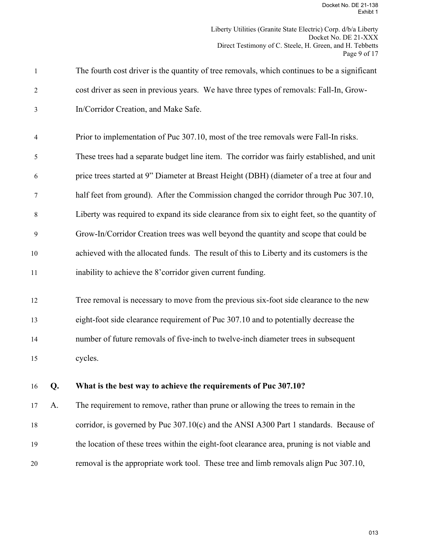Liberty Utilities (Granite State Electric) Corp. d/b/a Liberty Docket No. DE 21-XXX Direct Testimony of C. Steele, H. Green, and H. Tebbetts Page 9 of 17

- 1 The fourth cost driver is the quantity of tree removals, which continues to be a significant 2 cost driver as seen in previous years. We have three types of removals: Fall-In, Grow-3 In/Corridor Creation, and Make Safe.
- 4 Prior to implementation of Puc 307.10, most of the tree removals were Fall-In risks.
- 5 These trees had a separate budget line item. The corridor was fairly established, and unit
- 6 price trees started at 9" Diameter at Breast Height (DBH) (diameter of a tree at four and
- 7 half feet from ground). After the Commission changed the corridor through Puc 307.10,
- 8 Liberty was required to expand its side clearance from six to eight feet, so the quantity of
- 9 Grow-In/Corridor Creation trees was well beyond the quantity and scope that could be
- 10 achieved with the allocated funds. The result of this to Liberty and its customers is the
- 11 inability to achieve the 8'corridor given current funding.
- 12 Tree removal is necessary to move from the previous six-foot side clearance to the new 13 eight-foot side clearance requirement of Puc 307.10 and to potentially decrease the 14 number of future removals of five-inch to twelve-inch diameter trees in subsequent 15 cycles.
- 16 **Q. What is the best way to achieve the requirements of Puc 307.10?**

17 A. The requirement to remove, rather than prune or allowing the trees to remain in the 18 corridor, is governed by Puc 307.10(c) and the ANSI A300 Part 1 standards. Because of 19 the location of these trees within the eight-foot clearance area, pruning is not viable and 20 removal is the appropriate work tool. These tree and limb removals align Puc 307.10, Docket No. DE 21-138<br>
Exhibt 1<br>
Corp. d/b/a Liberty<br>
cet No. DE 21-XXX<br>
sen, and H. Tebbetts<br>
Page 9 of 17<br>
be a significant<br>
all-In, Grow-<br>
ll-In, Grow-<br>
ll-In risks.<br>
lished, and unit<br>
ree at four and<br>
gh Puc 307.10,<br>
be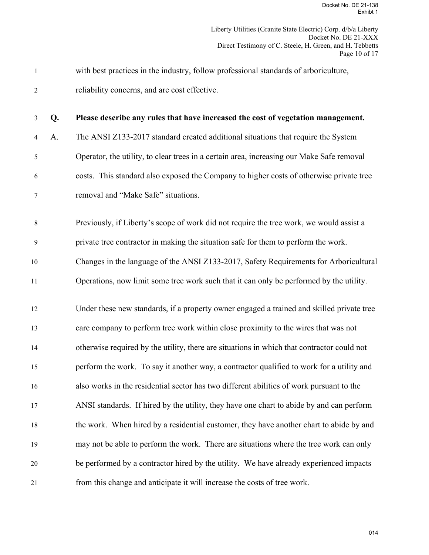Liberty Utilities (Granite State Electric) Corp. d/b/a Liberty Docket No. DE 21-XXX Direct Testimony of C. Steele, H. Green, and H. Tebbetts Page 10 of 17

1 with best practices in the industry, follow professional standards of arboriculture, 2 reliability concerns, and are cost effective.

3 **Q. Please describe any rules that have increased the cost of vegetation management.** 

- 4 A. The ANSI Z133-2017 standard created additional situations that require the System
- 5 Operator, the utility, to clear trees in a certain area, increasing our Make Safe removal 6 costs. This standard also exposed the Company to higher costs of otherwise private tree 7 removal and "Make Safe" situations.
- 8 Previously, if Liberty's scope of work did not require the tree work, we would assist a
- 9 private tree contractor in making the situation safe for them to perform the work.
- 10 Changes in the language of the ANSI Z133-2017, Safety Requirements for Arboricultural 11 Operations, now limit some tree work such that it can only be performed by the utility.

12 Under these new standards, if a property owner engaged a trained and skilled private tree 13 care company to perform tree work within close proximity to the wires that was not 14 otherwise required by the utility, there are situations in which that contractor could not 15 perform the work. To say it another way, a contractor qualified to work for a utility and 16 also works in the residential sector has two different abilities of work pursuant to the 17 ANSI standards. If hired by the utility, they have one chart to abide by and can perform 18 the work. When hired by a residential customer, they have another chart to abide by and 19 may not be able to perform the work. There are situations where the tree work can only 20 be performed by a contractor hired by the utility. We have already experienced impacts 21 from this change and anticipate it will increase the costs of tree work. Docket No. DE 21-138<br>
Exhibt 1<br>
Corp. d/b/a Liberty<br>
cet No. DE 21-XXX<br>
sen, and H. Tebbetts<br>
Page 10 of 17<br>
iculture,<br> **anagement.**<br> **he System**<br>
Safe removal<br>
ise private tree<br>
vould assist a<br>
e work.<br>
or Arboricultural<br>

014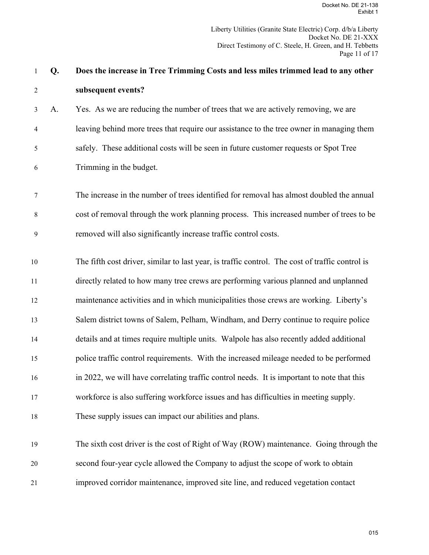|  | Does the increase in Tree Trimming Costs and less miles trimmed lead to any other |
|--|-----------------------------------------------------------------------------------|
|  | subsequent events?                                                                |

3 A. Yes. As we are reducing the number of trees that we are actively removing, we are 4 leaving behind more trees that require our assistance to the tree owner in managing them 5 safely. These additional costs will be seen in future customer requests or Spot Tree 6 Trimming in the budget.

7 The increase in the number of trees identified for removal has almost doubled the annual 8 cost of removal through the work planning process. This increased number of trees to be 9 removed will also significantly increase traffic control costs.

10 The fifth cost driver, similar to last year, is traffic control. The cost of traffic control is 11 directly related to how many tree crews are performing various planned and unplanned 12 maintenance activities and in which municipalities those crews are working. Liberty's 13 Salem district towns of Salem, Pelham, Windham, and Derry continue to require police 14 details and at times require multiple units. Walpole has also recently added additional 15 police traffic control requirements. With the increased mileage needed to be performed 16 in 2022, we will have correlating traffic control needs. It is important to note that this 17 workforce is also suffering workforce issues and has difficulties in meeting supply. 18 These supply issues can impact our abilities and plans. Docket No. DE 21-138<br>
Exhibt 1<br>
Corp. d/b/a Liberty<br>
cet No. DE 21-XXX<br>
sen, and H. Tebbetts<br>
Page 11 of 17<br> **d to any other**<br> **ng**, we are<br> **managing them**<br>
Spot Tree<br>
bled the annual<br>
er of trees to be<br>
and unplanned<br>
mg

19 The sixth cost driver is the cost of Right of Way (ROW) maintenance. Going through the 20 second four-year cycle allowed the Company to adjust the scope of work to obtain 21 improved corridor maintenance, improved site line, and reduced vegetation contact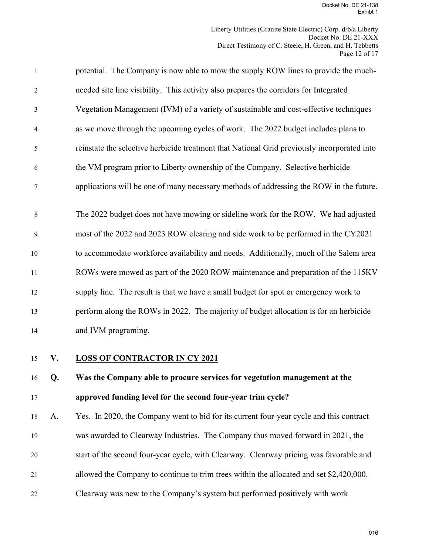|                |    | Docket No. DE 21-138<br>Exhibt 1                                                            |
|----------------|----|---------------------------------------------------------------------------------------------|
|                |    | Liberty Utilities (Granite State Electric) Corp. d/b/a Liberty<br>Docket No. DE 21-XXX      |
|                |    | Direct Testimony of C. Steele, H. Green, and H. Tebbetts<br>Page 12 of 17                   |
| $\mathbf{1}$   |    | potential. The Company is now able to mow the supply ROW lines to provide the much-         |
| $\overline{2}$ |    | needed site line visibility. This activity also prepares the corridors for Integrated       |
| 3              |    | Vegetation Management (IVM) of a variety of sustainable and cost-effective techniques       |
| 4              |    | as we move through the upcoming cycles of work. The 2022 budget includes plans to           |
| 5              |    | reinstate the selective herbicide treatment that National Grid previously incorporated into |
| 6              |    | the VM program prior to Liberty ownership of the Company. Selective herbicide               |
| 7              |    | applications will be one of many necessary methods of addressing the ROW in the future.     |
| 8              |    | The 2022 budget does not have mowing or sideline work for the ROW. We had adjusted          |
| 9              |    | most of the 2022 and 2023 ROW clearing and side work to be performed in the CY2021          |
| 10             |    | to accommodate workforce availability and needs. Additionally, much of the Salem area       |
| 11             |    | ROWs were mowed as part of the 2020 ROW maintenance and preparation of the 115KV            |
| 12             |    | supply line. The result is that we have a small budget for spot or emergency work to        |
| 13             |    | perform along the ROWs in 2022. The majority of budget allocation is for an herbicide       |
| 14             |    | and IVM programing.                                                                         |
| 15             | V. | <b>LOSS OF CONTRACTOR IN CY 2021</b>                                                        |
| 16             | Q. | Was the Company able to procure services for vegetation management at the                   |
| 17             |    | approved funding level for the second four-year trim cycle?                                 |
| 18             | A. | Yes. In 2020, the Company went to bid for its current four-year cycle and this contract     |
| 19             |    | was awarded to Clearway Industries. The Company thus moved forward in 2021, the             |
| 20             |    | start of the second four-year cycle, with Clearway. Clearway pricing was favorable and      |
| 21             |    | allowed the Company to continue to trim trees within the allocated and set \$2,420,000.     |
| 22             |    | Clearway was new to the Company's system but performed positively with work                 |
|                |    | 016                                                                                         |

- 21 allowed the Company to continue to trim trees within the allocated and set \$2,420,000.
- 22 Clearway was new to the Company's system but performed positively with work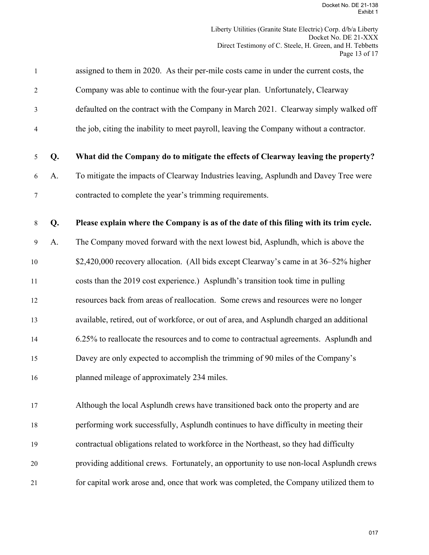|                |    | Docket No. DE 21-138<br>Exhibt 1                                                                                                                                    |
|----------------|----|---------------------------------------------------------------------------------------------------------------------------------------------------------------------|
|                |    | Liberty Utilities (Granite State Electric) Corp. d/b/a Liberty<br>Docket No. DE 21-XXX<br>Direct Testimony of C. Steele, H. Green, and H. Tebbetts<br>Page 13 of 17 |
| $\mathbf{1}$   |    | assigned to them in 2020. As their per-mile costs came in under the current costs, the                                                                              |
| $\overline{2}$ |    | Company was able to continue with the four-year plan. Unfortunately, Clearway                                                                                       |
| 3              |    | defaulted on the contract with the Company in March 2021. Clearway simply walked off                                                                                |
| $\overline{4}$ |    | the job, citing the inability to meet payroll, leaving the Company without a contractor.                                                                            |
| 5              | Q. | What did the Company do to mitigate the effects of Clearway leaving the property?                                                                                   |
| 6              | A. | To mitigate the impacts of Clearway Industries leaving, Asplundh and Davey Tree were                                                                                |
| 7              |    | contracted to complete the year's trimming requirements.                                                                                                            |
| $8\,$          | Q. | Please explain where the Company is as of the date of this filing with its trim cycle.                                                                              |
| 9              | A. | The Company moved forward with the next lowest bid, Asplundh, which is above the                                                                                    |
| 10             |    | \$2,420,000 recovery allocation. (All bids except Clearway's came in at 36–52% higher                                                                               |
| 11             |    | costs than the 2019 cost experience.) Asplundh's transition took time in pulling                                                                                    |
| 12             |    | resources back from areas of reallocation. Some crews and resources were no longer                                                                                  |
| 13             |    | available, retired, out of workforce, or out of area, and Asplundh charged an additional                                                                            |
| 14             |    | 6.25% to reallocate the resources and to come to contractual agreements. Asplundh and                                                                               |
| 15             |    | Davey are only expected to accomplish the trimming of 90 miles of the Company's                                                                                     |
| 16             |    | planned mileage of approximately 234 miles.                                                                                                                         |
| 17             |    | Although the local Asplundh crews have transitioned back onto the property and are                                                                                  |
| 18             |    | performing work successfully, Asplundh continues to have difficulty in meeting their                                                                                |
| 19             |    | contractual obligations related to workforce in the Northeast, so they had difficulty                                                                               |
| 20             |    | providing additional crews. Fortunately, an opportunity to use non-local Asplundh crews                                                                             |
| 21             |    | for capital work arose and, once that work was completed, the Company utilized them to                                                                              |
|                |    |                                                                                                                                                                     |
|                |    | 017                                                                                                                                                                 |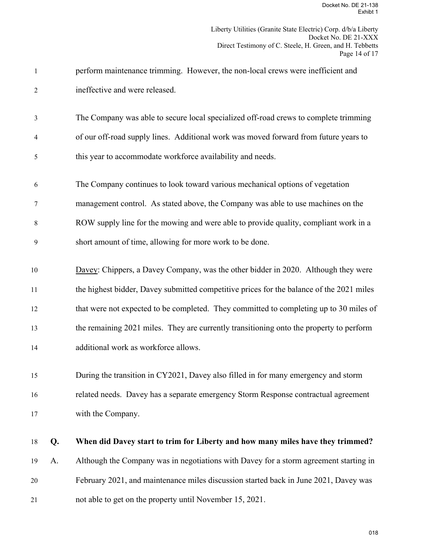|                |    | Docket No. DE 21-138<br>Exhibt 1                                                         |
|----------------|----|------------------------------------------------------------------------------------------|
|                |    | Liberty Utilities (Granite State Electric) Corp. d/b/a Liberty<br>Docket No. DE 21-XXX   |
|                |    | Direct Testimony of C. Steele, H. Green, and H. Tebbetts<br>Page 14 of 17                |
| $\mathbf{1}$   |    | perform maintenance trimming. However, the non-local crews were inefficient and          |
| $\overline{2}$ |    | ineffective and were released.                                                           |
| 3              |    | The Company was able to secure local specialized off-road crews to complete trimming     |
| 4              |    | of our off-road supply lines. Additional work was moved forward from future years to     |
| 5              |    | this year to accommodate workforce availability and needs.                               |
| 6              |    | The Company continues to look toward various mechanical options of vegetation            |
| 7              |    | management control. As stated above, the Company was able to use machines on the         |
| 8              |    | ROW supply line for the mowing and were able to provide quality, compliant work in a     |
| 9              |    | short amount of time, allowing for more work to be done.                                 |
| 10             |    | Davey: Chippers, a Davey Company, was the other bidder in 2020. Although they were       |
| 11             |    | the highest bidder, Davey submitted competitive prices for the balance of the 2021 miles |
| 12             |    | that were not expected to be completed. They committed to completing up to 30 miles of   |
| 13             |    | the remaining 2021 miles. They are currently transitioning onto the property to perform  |
| 14             |    | additional work as workforce allows.                                                     |
| 15             |    | During the transition in CY2021, Davey also filled in for many emergency and storm       |
| 16             |    | related needs. Davey has a separate emergency Storm Response contractual agreement       |
| 17             |    | with the Company.                                                                        |
| 18             | Q. | When did Davey start to trim for Liberty and how many miles have they trimmed?           |
| 19             | A. | Although the Company was in negotiations with Davey for a storm agreement starting in    |
| 20             |    | February 2021, and maintenance miles discussion started back in June 2021, Davey was     |
| 21             |    | not able to get on the property until November 15, 2021.                                 |
|                |    | 018                                                                                      |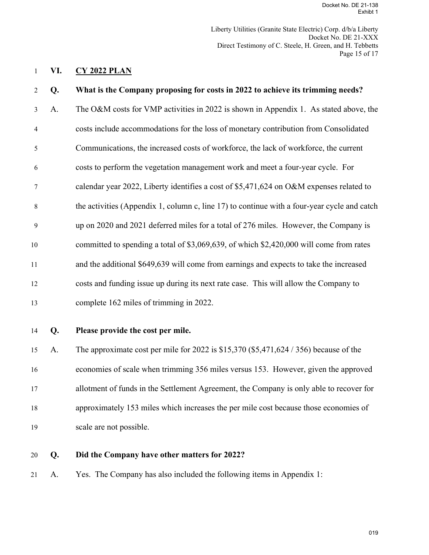Liberty Utilities (Granite State Electric) Corp. d/b/a Liberty Docket No. DE 21-XXX Direct Testimony of C. Steele, H. Green, and H. Tebbetts Page 15 of 17

## 1 **VI. CY 2022 PLAN**

### 2 **Q. What is the Company proposing for costs in 2022 to achieve its trimming needs?**

3 A. The O&M costs for VMP activities in 2022 is shown in Appendix 1. As stated above, the 4 costs include accommodations for the loss of monetary contribution from Consolidated 5 Communications, the increased costs of workforce, the lack of workforce, the current 6 costs to perform the vegetation management work and meet a four-year cycle. For 7 calendar year 2022, Liberty identifies a cost of \$5,471,624 on O&M expenses related to 8 the activities (Appendix 1, column c, line 17) to continue with a four-year cycle and catch 9 up on 2020 and 2021 deferred miles for a total of 276 miles. However, the Company is 10 committed to spending a total of \$3,069,639, of which \$2,420,000 will come from rates 11 and the additional \$649,639 will come from earnings and expects to take the increased 12 costs and funding issue up during its next rate case. This will allow the Company to 13 complete 162 miles of trimming in 2022. Docket No. DE 21-138<br>
Exhibt 1<br>
Corp. d/b/a Liberty<br>
cet No. DE 21-XXX<br>
cen, and H. Tebbetts<br>
Page 15 of 17<br> **ning needs?**<br>
stated above, the<br>
Consolidated<br>
, the current<br>
ycle. For<br>
mess related to<br>
r cycle and catch<br>
ne

#### 14 **Q. Please provide the cost per mile.**

15 A. The approximate cost per mile for 2022 is \$15,370 (\$5,471,624 / 356) because of the 16 economies of scale when trimming 356 miles versus 153. However, given the approved 17 allotment of funds in the Settlement Agreement, the Company is only able to recover for 18 approximately 153 miles which increases the per mile cost because those economies of 19 scale are not possible.

### 20 **Q. Did the Company have other matters for 2022?**

21 A. Yes. The Company has also included the following items in Appendix 1: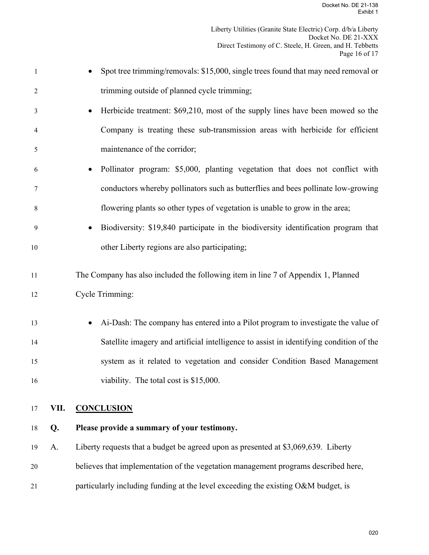|                |      | Docket No. DE 21-138<br>Exhibt 1                                                                |
|----------------|------|-------------------------------------------------------------------------------------------------|
|                |      | Liberty Utilities (Granite State Electric) Corp. d/b/a Liberty<br>Docket No. DE 21-XXX          |
|                |      | Direct Testimony of C. Steele, H. Green, and H. Tebbetts<br>Page 16 of 17                       |
| 1              |      | Spot tree trimming/removals: \$15,000, single trees found that may need removal or              |
| $\overline{c}$ |      | trimming outside of planned cycle trimming;                                                     |
| 3              |      | Herbicide treatment: \$69,210, most of the supply lines have been mowed so the<br>$\bullet$     |
| 4              |      | Company is treating these sub-transmission areas with herbicide for efficient                   |
| 5              |      | maintenance of the corridor;                                                                    |
| 6              |      | Pollinator program: \$5,000, planting vegetation that does not conflict with<br>$\bullet$       |
| 7              |      | conductors whereby pollinators such as butterflies and bees pollinate low-growing               |
| 8              |      | flowering plants so other types of vegetation is unable to grow in the area;                    |
| 9              |      | Biodiversity: \$19,840 participate in the biodiversity identification program that<br>$\bullet$ |
| 10             |      | other Liberty regions are also participating;                                                   |
| 11             |      | The Company has also included the following item in line 7 of Appendix 1, Planned               |
| 12             |      | Cycle Trimming:                                                                                 |
| 13             |      | Ai-Dash: The company has entered into a Pilot program to investigate the value of               |
| 14             |      | Satellite imagery and artificial intelligence to assist in identifying condition of the         |
| 15             |      | system as it related to vegetation and consider Condition Based Management                      |
| 16             |      | viability. The total cost is \$15,000.                                                          |
| 17             | VII. | <b>CONCLUSION</b>                                                                               |
| 18             | Q.   | Please provide a summary of your testimony.                                                     |
| 19             | A.   | Liberty requests that a budget be agreed upon as presented at \$3,069,639. Liberty              |
| 20             |      | believes that implementation of the vegetation management programs described here,              |
| 21             |      | particularly including funding at the level exceeding the existing O&M budget, is               |
|                |      |                                                                                                 |
|                |      | 020                                                                                             |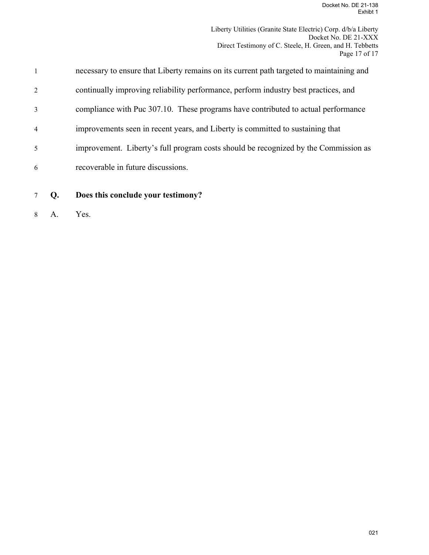|                |    | Docket No. DE 21-138<br>Exhibt 1                                                                                                                                    |
|----------------|----|---------------------------------------------------------------------------------------------------------------------------------------------------------------------|
|                |    | Liberty Utilities (Granite State Electric) Corp. d/b/a Liberty<br>Docket No. DE 21-XXX<br>Direct Testimony of C. Steele, H. Green, and H. Tebbetts<br>Page 17 of 17 |
| $\mathbf{1}$   |    | necessary to ensure that Liberty remains on its current path targeted to maintaining and                                                                            |
| $\overline{c}$ |    | continually improving reliability performance, perform industry best practices, and                                                                                 |
| 3              |    | compliance with Puc 307.10. These programs have contributed to actual performance                                                                                   |
| $\overline{4}$ |    | improvements seen in recent years, and Liberty is committed to sustaining that                                                                                      |
| 5              |    | improvement. Liberty's full program costs should be recognized by the Commission as                                                                                 |
| 6              |    | recoverable in future discussions.                                                                                                                                  |
| $\tau$         | Q. | Does this conclude your testimony?                                                                                                                                  |
| 8              | A. | Yes.                                                                                                                                                                |
|                |    |                                                                                                                                                                     |
|                |    |                                                                                                                                                                     |
|                |    |                                                                                                                                                                     |
|                |    |                                                                                                                                                                     |
|                |    |                                                                                                                                                                     |
|                |    |                                                                                                                                                                     |
|                |    |                                                                                                                                                                     |
|                |    |                                                                                                                                                                     |
|                |    |                                                                                                                                                                     |
|                |    |                                                                                                                                                                     |
|                |    |                                                                                                                                                                     |
|                |    |                                                                                                                                                                     |
|                |    |                                                                                                                                                                     |
|                |    |                                                                                                                                                                     |
|                |    |                                                                                                                                                                     |
|                |    |                                                                                                                                                                     |
|                |    | 021                                                                                                                                                                 |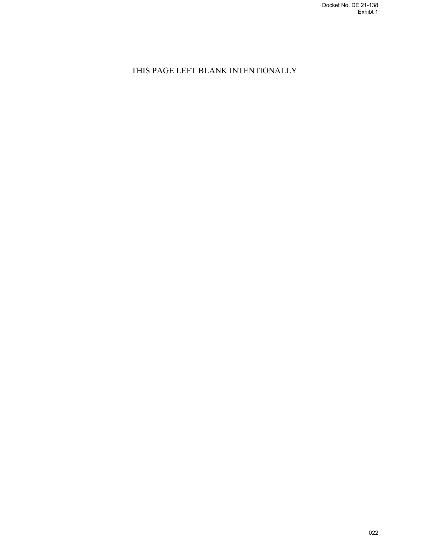# THIS PAGE LEFT BLANK INTENTIONALLY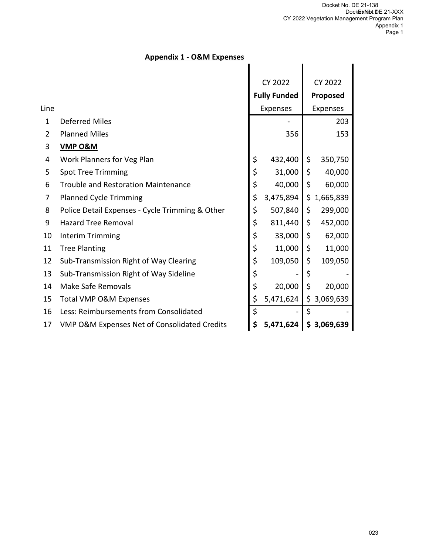# **Appendix 1 - O&M Expenses**

| <b>CY 2022</b><br><b>CY 2022</b><br><b>Fully Funded</b><br>Proposed<br>Line<br>Expenses<br>Expenses<br><b>Deferred Miles</b><br>$\mathbf{1}$<br>203<br><b>Planned Miles</b><br>$\overline{2}$<br>356<br>153<br>3<br><b>VMP O&amp;M</b><br>\$<br>\$<br>432,400<br>350,750<br>Work Planners for Veg Plan<br>4<br>\$<br>31,000<br>$\boldsymbol{\dot{\varsigma}}$<br><b>Spot Tree Trimming</b><br>40,000<br>5<br>\$<br>\$<br>Trouble and Restoration Maintenance<br>40,000<br>60,000<br>6<br>\$<br>3,475,894<br>\$1,665,839<br><b>Planned Cycle Trimming</b><br>7 |
|---------------------------------------------------------------------------------------------------------------------------------------------------------------------------------------------------------------------------------------------------------------------------------------------------------------------------------------------------------------------------------------------------------------------------------------------------------------------------------------------------------------------------------------------------------------|
|                                                                                                                                                                                                                                                                                                                                                                                                                                                                                                                                                               |
|                                                                                                                                                                                                                                                                                                                                                                                                                                                                                                                                                               |
|                                                                                                                                                                                                                                                                                                                                                                                                                                                                                                                                                               |
|                                                                                                                                                                                                                                                                                                                                                                                                                                                                                                                                                               |
|                                                                                                                                                                                                                                                                                                                                                                                                                                                                                                                                                               |
|                                                                                                                                                                                                                                                                                                                                                                                                                                                                                                                                                               |
|                                                                                                                                                                                                                                                                                                                                                                                                                                                                                                                                                               |
|                                                                                                                                                                                                                                                                                                                                                                                                                                                                                                                                                               |
|                                                                                                                                                                                                                                                                                                                                                                                                                                                                                                                                                               |
|                                                                                                                                                                                                                                                                                                                                                                                                                                                                                                                                                               |
| \$<br>507,840<br>\$<br>299,000<br>Police Detail Expenses - Cycle Trimming & Other<br>8                                                                                                                                                                                                                                                                                                                                                                                                                                                                        |
| \$<br>\$<br><b>Hazard Tree Removal</b><br>811,440<br>452,000<br>9                                                                                                                                                                                                                                                                                                                                                                                                                                                                                             |
| \$<br>33,000<br>\$<br>62,000<br>10<br>Interim Trimming                                                                                                                                                                                                                                                                                                                                                                                                                                                                                                        |
| \$<br>11,000<br>$\boldsymbol{\zeta}$<br>11,000<br><b>Tree Planting</b><br>11                                                                                                                                                                                                                                                                                                                                                                                                                                                                                  |
| \$<br>109,050<br>\$<br>109,050<br>Sub-Transmission Right of Way Clearing<br>12                                                                                                                                                                                                                                                                                                                                                                                                                                                                                |
| \$<br>\$<br>13<br>Sub-Transmission Right of Way Sideline                                                                                                                                                                                                                                                                                                                                                                                                                                                                                                      |
| \$<br>\$<br>20,000<br>20,000<br>Make Safe Removals<br>14                                                                                                                                                                                                                                                                                                                                                                                                                                                                                                      |
| \$<br>5,471,624<br>\$<br>3,069,639<br>15<br>Total VMP O&M Expenses                                                                                                                                                                                                                                                                                                                                                                                                                                                                                            |
| \$<br>\$<br>Less: Reimbursements from Consolidated<br>16                                                                                                                                                                                                                                                                                                                                                                                                                                                                                                      |
| $5,471,624$ $5,3,069,639$<br>VMP O&M Expenses Net of Consolidated Credits<br>17                                                                                                                                                                                                                                                                                                                                                                                                                                                                               |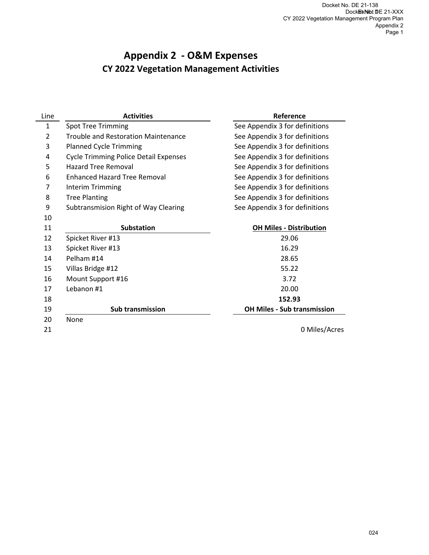# **Appendix 2 - O&M Expenses CY 2022 Vegetation Management Activities**

l,

| <b>Activities</b>                            | Reference                          |
|----------------------------------------------|------------------------------------|
| <b>Spot Tree Trimming</b>                    | See Appendix 3 for definitions     |
| <b>Trouble and Restoration Maintenance</b>   | See Appendix 3 for definitions     |
| <b>Planned Cycle Trimming</b>                | See Appendix 3 for definitions     |
| <b>Cycle Trimming Police Detail Expenses</b> | See Appendix 3 for definitions     |
| <b>Hazard Tree Removal</b>                   | See Appendix 3 for definitions     |
| <b>Enhanced Hazard Tree Removal</b>          | See Appendix 3 for definitions     |
| <b>Interim Trimming</b>                      | See Appendix 3 for definitions     |
| <b>Tree Planting</b>                         | See Appendix 3 for definitions     |
| Subtransmision Right of Way Clearing         | See Appendix 3 for definitions     |
| <b>Substation</b>                            | <b>OH Miles - Distribution</b>     |
| Spicket River #13                            | 29.06                              |
| Spicket River #13                            | 16.29                              |
| Pelham #14                                   | 28.65                              |
| Villas Bridge #12                            | 55.22                              |
| Mount Support #16                            | 3.72                               |
| Lebanon #1                                   | 20.00                              |
|                                              | 152.93                             |
| <b>Sub transmission</b>                      | <b>OH Miles - Sub transmission</b> |
| None                                         | 0 Miles/Acres                      |
|                                              |                                    |
|                                              |                                    |
|                                              |                                    |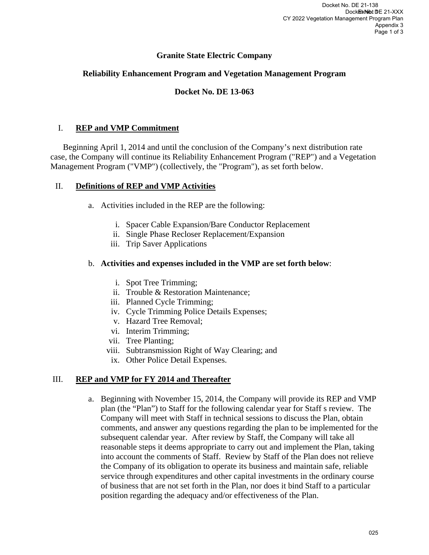## **Granite State Electric Company**

## **Reliability Enhancement Program and Vegetation Management Program**

## **Docket No. DE 13-063**

### I. **REP and VMP Commitment**

Beginning April 1, 2014 and until the conclusion of the Company's next distribution rate case, the Company will continue its Reliability Enhancement Program ("REP") and a Vegetation Management Program ("VMP") (collectively, the "Program"), as set forth below.

### II. **Definitions of REP and VMP Activities**

- a. Activities included in the REP are the following:
	- i. Spacer Cable Expansion/Bare Conductor Replacement
	- ii. Single Phase Recloser Replacement/Expansion
	- iii. Trip Saver Applications

### b. **Activities and expenses included in the VMP are set forth below**:

- i. Spot Tree Trimming;
- ii. Trouble & Restoration Maintenance;
- iii. Planned Cycle Trimming;
- iv. Cycle Trimming Police Details Expenses;
- v. Hazard Tree Removal;
- vi. Interim Trimming;
- vii. Tree Planting;
- viii. Subtransmission Right of Way Clearing; and
	- ix. Other Police Detail Expenses.

## III. **REP and VMP for FY 2014 and Thereafter**

a. Beginning with November 15, 2014, the Company will provide its REP and VMP plan (the "Plan") to Staff for the following calendar year for Staff s review. The Company will meet with Staff in technical sessions to discuss the Plan, obtain comments, and answer any questions regarding the plan to be implemented for the subsequent calendar year. After review by Staff, the Company will take all reasonable steps it deems appropriate to carry out and implement the Plan, taking into account the comments of Staff. Review by Staff of the Plan does not relieve the Company of its obligation to operate its business and maintain safe, reliable service through expenditures and other capital investments in the ordinary course of business that are not set forth in the Plan, nor does it bind Staff to a particular position regarding the adequacy and/or effectiveness of the Plan. Docket No. DE 21-138<br>Dock**et No.** DE 21-138<br>Dock**et No. De 21-138**<br>Dock**et No. De 21-138**<br>Docket No. De 21-138<br>Provided Proper<br>Proper Consequent Proper<br>Ordinary Course<br>In the Plan, taking<br>Idoes not relieve<br>ordinary course<br>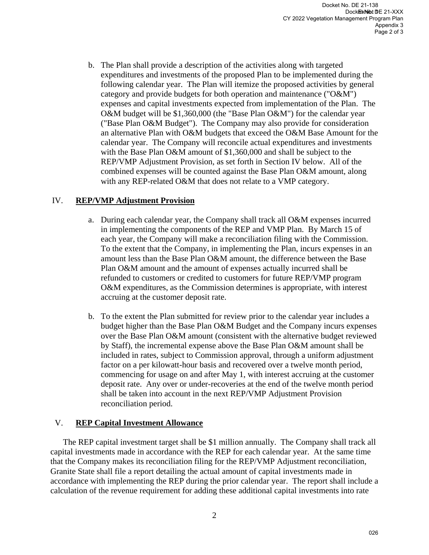b. The Plan shall provide a description of the activities along with targeted expenditures and investments of the proposed Plan to be implemented during the following calendar year. The Plan will itemize the proposed activities by general category and provide budgets for both operation and maintenance ("O&M") expenses and capital investments expected from implementation of the Plan. The O&M budget will be \$1,360,000 (the "Base Plan O&M") for the calendar year ("Base Plan O&M Budget"). The Company may also provide for consideration an alternative Plan with O&M budgets that exceed the O&M Base Amount for the calendar year. The Company will reconcile actual expenditures and investments with the Base Plan O&M amount of \$1,360,000 and shall be subject to the REP/VMP Adjustment Provision, as set forth in Section IV below. All of the combined expenses will be counted against the Base Plan O&M amount, along with any REP-related O&M that does not relate to a VMP category. Docket No. DE 21-138<br>Docket No. DE 21-138<br>Docket No. DE 21-138<br>Docket No. DE 21-138<br>The Docket Note Discussion<br>Management Program<br>The divideor Discussion<br>of the Plan. The<br>calendar year<br>consideration<br>2. Amount for the mount

## IV. **REP/VMP Adjustment Provision**

- a. During each calendar year, the Company shall track all O&M expenses incurred in implementing the components of the REP and VMP Plan. By March 15 of each year, the Company will make a reconciliation filing with the Commission. To the extent that the Company, in implementing the Plan, incurs expenses in an amount less than the Base Plan O&M amount, the difference between the Base Plan O&M amount and the amount of expenses actually incurred shall be refunded to customers or credited to customers for future REP/VMP program O&M expenditures, as the Commission determines is appropriate, with interest accruing at the customer deposit rate.
- b. To the extent the Plan submitted for review prior to the calendar year includes a budget higher than the Base Plan O&M Budget and the Company incurs expenses over the Base Plan O&M amount (consistent with the alternative budget reviewed by Staff), the incremental expense above the Base Plan O&M amount shall be included in rates, subject to Commission approval, through a uniform adjustment factor on a per kilowatt-hour basis and recovered over a twelve month period, commencing for usage on and after May 1, with interest accruing at the customer deposit rate. Any over or under-recoveries at the end of the twelve month period shall be taken into account in the next REP/VMP Adjustment Provision reconciliation period.

### V. **REP Capital Investment Allowance**

The REP capital investment target shall be \$1 million annually. The Company shall track all capital investments made in accordance with the REP for each calendar year. At the same time that the Company makes its reconciliation filing for the REP/VMP Adjustment reconciliation, Granite State shall file a report detailing the actual amount of capital investments made in accordance with implementing the REP during the prior calendar year. The report shall include a calculation of the revenue requirement for adding these additional capital investments into rate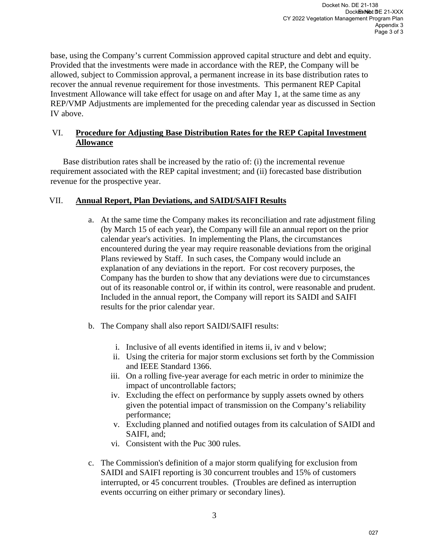base, using the Company's current Commission approved capital structure and debt and equity. Provided that the investments were made in accordance with the REP, the Company will be allowed, subject to Commission approval, a permanent increase in its base distribution rates to recover the annual revenue requirement for those investments. This permanent REP Capital Investment Allowance will take effect for usage on and after May 1, at the same time as any REP/VMP Adjustments are implemented for the preceding calendar year as discussed in Section IV above.

## VI. **Procedure for Adjusting Base Distribution Rates for the REP Capital Investment Allowance**

Base distribution rates shall be increased by the ratio of: (i) the incremental revenue requirement associated with the REP capital investment; and (ii) forecasted base distribution revenue for the prospective year.

## VII. **Annual Report, Plan Deviations, and SAIDI/SAIFI Results**

- a. At the same time the Company makes its reconciliation and rate adjustment filing (by March 15 of each year), the Company will file an annual report on the prior calendar year's activities. In implementing the Plans, the circumstances encountered during the year may require reasonable deviations from the original Plans reviewed by Staff. In such cases, the Company would include an explanation of any deviations in the report. For cost recovery purposes, the Company has the burden to show that any deviations were due to circumstances out of its reasonable control or, if within its control, were reasonable and prudent. Included in the annual report, the Company will report its SAIDI and SAIFI results for the prior calendar year. Docket No. DE 21-138<br>Docket No. DE 21-138<br>Docket Note<br>Docket Note<br>Docket Note<br>Docket<br>Note<br>Proper Consequent<br>Proper<br>Subset and equity.<br>Apple Docket No.<br>Apple Docket Note<br>of Reproduce<br>time as any<br>used in Section<br>**1 Investmen**
- b. The Company shall also report SAIDI/SAIFI results:
	- i. Inclusive of all events identified in items ii, iv and v below;
	- ii. Using the criteria for major storm exclusions set forth by the Commission and IEEE Standard 1366.
	- iii. On a rolling five-year average for each metric in order to minimize the impact of uncontrollable factors;
	- iv. Excluding the effect on performance by supply assets owned by others given the potential impact of transmission on the Company's reliability performance;
	- v. Excluding planned and notified outages from its calculation of SAIDI and SAIFI, and;
	- vi. Consistent with the Puc 300 rules.
- c. The Commission's definition of a major storm qualifying for exclusion from SAIDI and SAIFI reporting is 30 concurrent troubles and 15% of customers interrupted, or 45 concurrent troubles. (Troubles are defined as interruption events occurring on either primary or secondary lines).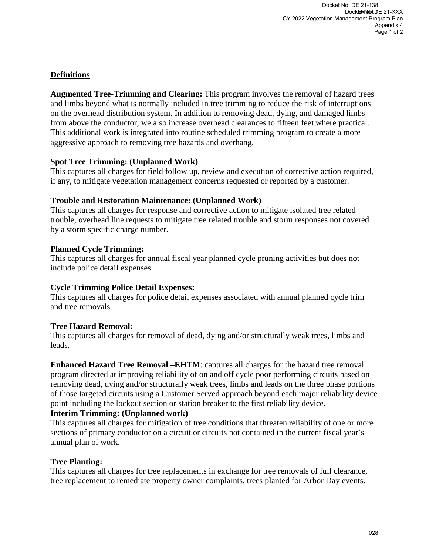# **Definitions**

**Augmented Tree-Trimming and Clearing:** This program involves the removal of hazard trees and limbs beyond what is normally included in tree trimming to reduce the risk of interruptions on the overhead distribution system. In addition to removing dead, dying, and damaged limbs from above the conductor, we also increase overhead clearances to fifteen feet where practical. This additional work is integrated into routine scheduled trimming program to create a more aggressive approach to removing tree hazards and overhang. Docket No. DE 21-138<br>Docket No. DE 21-138<br>Docket Nine 19<br>Mocket Nine 19<br>Mocket Nine 19<br>Mocket Nine 19<br>Proper Straight Proper<br>Altion Management Proper<br>Altion Management Proper<br>Altion and the practical.<br>astomer.<br>Respect on t

## **Spot Tree Trimming: (Unplanned Work)**

This captures all charges for field follow up, review and execution of corrective action required, if any, to mitigate vegetation management concerns requested or reported by a customer.

## **Trouble and Restoration Maintenance: (Unplanned Work)**

This captures all charges for response and corrective action to mitigate isolated tree related trouble, overhead line requests to mitigate tree related trouble and storm responses not covered by a storm specific charge number.

## **Planned Cycle Trimming:**

This captures all charges for annual fiscal year planned cycle pruning activities but does not include police detail expenses.

# **Cycle Trimming Police Detail Expenses:**

This captures all charges for police detail expenses associated with annual planned cycle trim and tree removals.

# **Tree Hazard Removal:**

This captures all charges for removal of dead, dying and/or structurally weak trees, limbs and leads.

**Enhanced Hazard Tree Removal – EHTM:** captures all charges for the hazard tree removal program directed at improving reliability of on and off cycle poor performing circuits based on removing dead, dying and/or structurally weak trees, limbs and leads on the three phase portions of those targeted circuits using a Customer Served approach beyond each major reliability device point including the lockout section or station breaker to the first reliability device.

# **Interim Trimming: (Unplanned work)**

This captures all charges for mitigation of tree conditions that threaten reliability of one or more sections of primary conductor on a circuit or circuits not contained in the current fiscal year's annual plan of work.

# **Tree Planting:**

This captures all charges for tree replacements in exchange for tree removals of full clearance, tree replacement to remediate property owner complaints, trees planted for Arbor Day events.